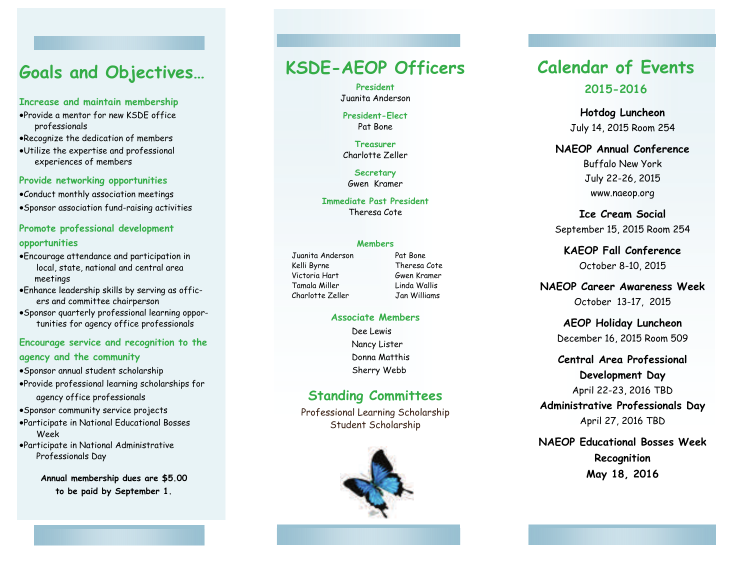# **Goals and Objectives…**

#### **Increase and maintain membership**

- Provide a mentor for new KSDE office professionals
- Recognize the dedication of members
- Utilize the expertise and professional experiences of members

#### **Provide networking opportunities**

Conduct monthly association meetings

Sponsor association fund-raising activities

#### **Promote professional development opportunities**

- Encourage attendance and participation in local, state, national and central area meetings
- Enhance leadership skills by serving as officers and committee chairperson
- Sponsor quarterly professional learning opportunities for agency office professionals

#### **Encourage service and recognition to the agency and the community**

- Sponsor annual student scholarship
- Provide professional learning scholarships for agency office professionals

Sponsor community service projects

- Participate in National Educational Bosses Week
- Participate in National Administrative Professionals Day

**Annual membership dues are \$5.00 to be paid by September 1.** 

# **KSDE-AEOP Officers**

**President** Juanita Anderson

#### **President-Elect** Pat Bone

**Treasurer** Charlotte Zeller

**Secretary**  Gwen Kramer

**Immediate Past President**  Theresa Cote

#### **Members**

Juanita Anderson Pat Bone Kelli Byrne Theresa Cote Victoria Hart Gwen Kramer Tamala Miller Linda Wallis Charlotte Zeller Jan Williams

#### **Associate Members**

Dee Lewis Nancy Lister Donna Matthis Sherry Webb

## **Standing Committees**

Professional Learning Scholarship Student Scholarship



## **Calendar of Events 2015-2016**

**Hotdog Luncheon**  July 14, 2015 Room 254

**NAEOP Annual Conference**  Buffalo New York July 22-26, 2015 www.naeop.org

**Ice Cream Social**  September 15, 2015 Room 254

**KAEOP Fall Conference**  October 8-10, 2015

**NAEOP Career Awareness Week**  October 13-17, 2015

> **AEOP Holiday Luncheon**  December 16, 2015 Room 509

**Central Area Professional** 

**Development Day** 

April 22-23, 2016 TBD

**Administrative Professionals Day**  April 27, 2016 TBD

**NAEOP Educational Bosses WeekRecognition May 18, 2016**